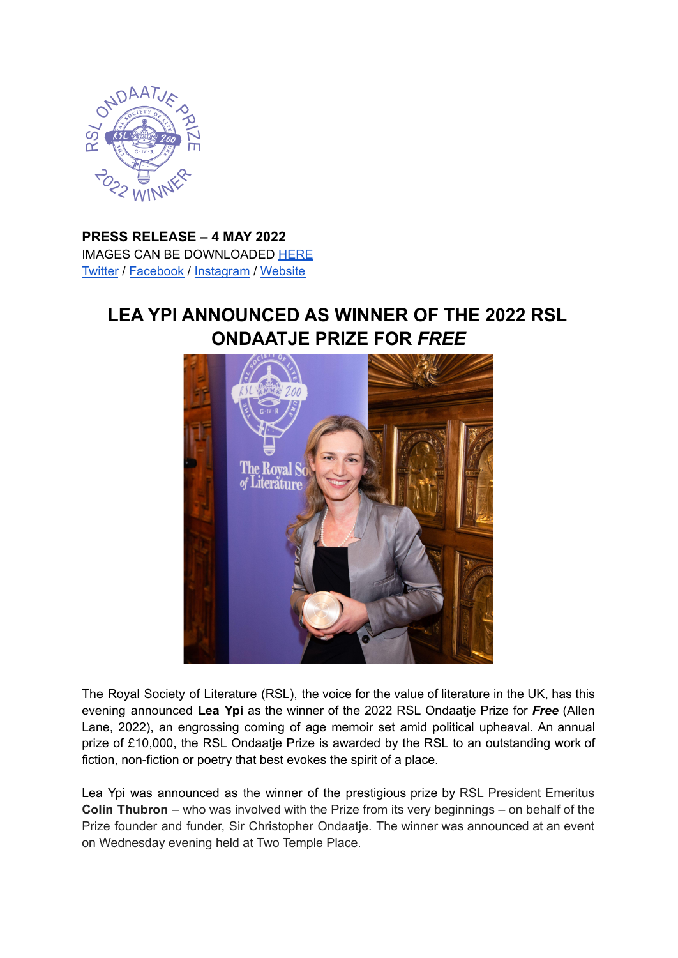

**PRESS RELEASE – 4 MAY 2022** IMAGES CAN BE DOWNLOADED [HERE](https://drive.google.com/drive/folders/1Cx4FussW6dFZBuvOW9VWRqOOhFjwJCI_?usp=sharing) [Twitter](https://twitter.com/RSLiterature) / [Facebook](https://www.facebook.com/RoyalSocietyLiterature/) / [Instagram](https://www.instagram.com/royalsocietyofliterature/?hl=en) / [Website](https://rsliterature.org/)

## **LEA YPI ANNOUNCED AS WINNER OF THE 2022 RSL ONDAATJE PRIZE FOR** *FREE*



The Royal Society of Literature (RSL), the voice for the value of literature in the UK, has this evening announced **Lea Ypi** as the winner of the 2022 RSL Ondaatje Prize for *Free* (Allen Lane, 2022), an engrossing coming of age memoir set amid political upheaval. An annual prize of £10,000, the RSL Ondaatje Prize is awarded by the RSL to an outstanding work of fiction, non-fiction or poetry that best evokes the spirit of a place.

Lea Ypi was announced as the winner of the prestigious prize by RSL President Emeritus **Colin Thubron** – who was involved with the Prize from its very beginnings – on behalf of the Prize founder and funder, Sir Christopher Ondaatje. The winner was announced at an event on Wednesday evening held at Two Temple Place.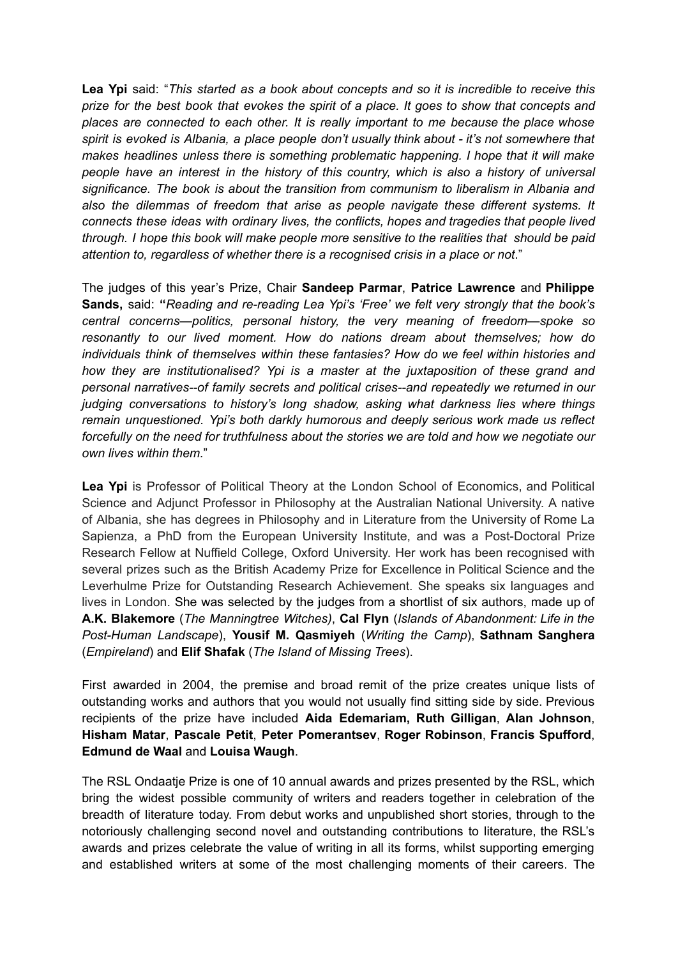**Lea Ypi** said: "*This started as a book about concepts and so it is incredible to receive this* prize for the best book that evokes the spirit of a place. It goes to show that concepts and *places are connected to each other. It is really important to me because the place whose spirit is evoked is Albania, a place people don't usually think about - it's not somewhere that makes headlines unless there is something problematic happening. I hope that it will make people have an interest in the history of this country, which is also a history of universal significance. The book is about the transition from communism to liberalism in Albania and also the dilemmas of freedom that arise as people navigate these different systems. It connects these ideas with ordinary lives, the conflicts, hopes and tragedies that people lived through. I hope this book will make people more sensitive to the realities that should be paid attention to, regardless of whether there is a recognised crisis in a place or not*."

The judges of this year's Prize, Chair **Sandeep Parmar**, **Patrice Lawrence** and **Philippe Sands,** said: **"***Reading and re-reading Lea Ypi's 'Free' we felt very strongly that the book's central concerns—politics, personal history, the very meaning of freedom—spoke so resonantly to our lived moment. How do nations dream about themselves; how do individuals think of themselves within these fantasies? How do we feel within histories and how they are institutionalised? Ypi is a master at the juxtaposition of these grand and personal narratives--of family secrets and political crises--and repeatedly we returned in our judging conversations to history's long shadow, asking what darkness lies where things remain unquestioned. Ypi's both darkly humorous and deeply serious work made us reflect forcefully on the need for truthfulness about the stories we are told and how we negotiate our own lives within them.*"

**Lea Ypi** is Professor of Political Theory at the London School of Economics, and Political Science and Adjunct Professor in Philosophy at the Australian National University. A native of Albania, she has degrees in Philosophy and in Literature from the University of Rome La Sapienza, a PhD from the European University Institute, and was a Post-Doctoral Prize Research Fellow at Nuffield College, Oxford University. Her work has been recognised with several prizes such as the British Academy Prize for Excellence in Political Science and the Leverhulme Prize for Outstanding Research Achievement. She speaks six languages and lives in London. She was selected by the judges from a shortlist of six authors, made up of **A.K. Blakemore** (*The Manningtree Witches)*, **Cal Flyn** (*Islands of Abandonment: Life in the Post-Human Landscape*), **Yousif M. Qasmiyeh** (*Writing the Camp*), **Sathnam Sanghera** (*Empireland*) and **Elif Shafak** (*The Island of Missing Trees*).

First awarded in 2004, the premise and broad remit of the prize creates unique lists of outstanding works and authors that you would not usually find sitting side by side. Previous recipients of the prize have included **Aida Edemariam, Ruth Gilligan**, **Alan Johnson**, **Hisham Matar**, **Pascale Petit**, **Peter Pomerantsev**, **Roger Robinson**, **Francis Spufford**, **Edmund de Waal** and **Louisa Waugh**.

The RSL Ondaatje Prize is one of 10 annual awards and prizes presented by the RSL, which bring the widest possible community of writers and readers together in celebration of the breadth of literature today. From debut works and unpublished short stories, through to the notoriously challenging second novel and outstanding contributions to literature, the RSL's awards and prizes celebrate the value of writing in all its forms, whilst supporting emerging and established writers at some of the most challenging moments of their careers. The